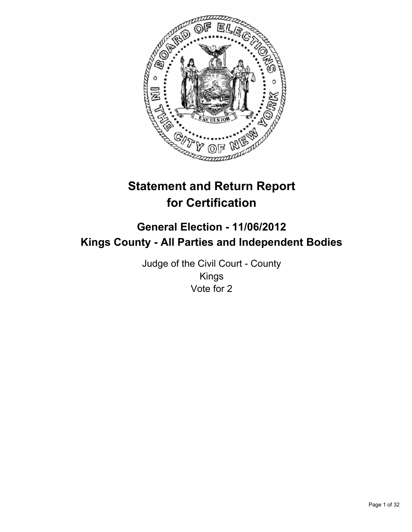

# **Statement and Return Report for Certification**

## **General Election - 11/06/2012 Kings County - All Parties and Independent Bodies**

Judge of the Civil Court - County Kings Vote for 2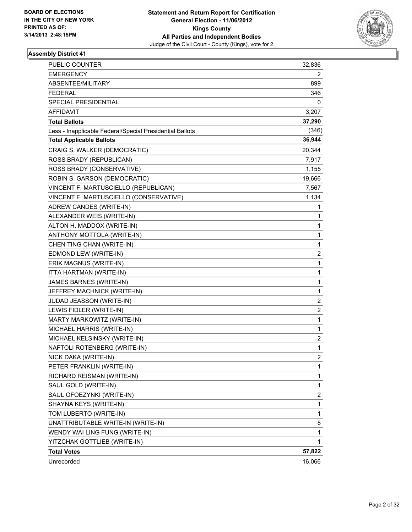

| <b>PUBLIC COUNTER</b>                                    | 32,836                  |
|----------------------------------------------------------|-------------------------|
| <b>EMERGENCY</b>                                         | 2                       |
| ABSENTEE/MILITARY                                        | 899                     |
| <b>FEDERAL</b>                                           | 346                     |
| <b>SPECIAL PRESIDENTIAL</b>                              | 0                       |
| AFFIDAVIT                                                | 3,207                   |
| <b>Total Ballots</b>                                     | 37,290                  |
| Less - Inapplicable Federal/Special Presidential Ballots | (346)                   |
| <b>Total Applicable Ballots</b>                          | 36,944                  |
| CRAIG S. WALKER (DEMOCRATIC)                             | 20,344                  |
| ROSS BRADY (REPUBLICAN)                                  | 7,917                   |
| ROSS BRADY (CONSERVATIVE)                                | 1,155                   |
| ROBIN S. GARSON (DEMOCRATIC)                             | 19,666                  |
| VINCENT F. MARTUSCIELLO (REPUBLICAN)                     | 7,567                   |
| VINCENT F. MARTUSCIELLO (CONSERVATIVE)                   | 1,134                   |
| ADREW CANDES (WRITE-IN)                                  | 1                       |
| ALEXANDER WEIS (WRITE-IN)                                | 1                       |
| ALTON H. MADDOX (WRITE-IN)                               | 1                       |
| ANTHONY MOTTOLA (WRITE-IN)                               | 1                       |
| CHEN TING CHAN (WRITE-IN)                                | 1                       |
| EDMOND LEW (WRITE-IN)                                    | $\overline{\mathbf{c}}$ |
| ERIK MAGNUS (WRITE-IN)                                   | 1                       |
| ITTA HARTMAN (WRITE-IN)                                  | 1                       |
| JAMES BARNES (WRITE-IN)                                  | 1                       |
| JEFFREY MACHNICK (WRITE-IN)                              | 1                       |
| JUDAD JEASSON (WRITE-IN)                                 | $\overline{c}$          |
| LEWIS FIDLER (WRITE-IN)                                  | $\overline{\mathbf{c}}$ |
| MARTY MARKOWITZ (WRITE-IN)                               | 1                       |
| MICHAEL HARRIS (WRITE-IN)                                | 1                       |
| MICHAEL KELSINSKY (WRITE-IN)                             | 2                       |
| NAFTOLI ROTENBERG (WRITE-IN)                             | 1                       |
| NICK DAKA (WRITE-IN)                                     | $\overline{2}$          |
| PETER FRANKLIN (WRITE-IN)                                | 1                       |
| RICHARD REISMAN (WRITE-IN)                               | 1                       |
| SAUL GOLD (WRITE-IN)                                     | 1                       |
| SAUL OFOEZYNKI (WRITE-IN)                                | $\overline{\mathbf{c}}$ |
| SHAYNA KEYS (WRITE-IN)                                   | 1                       |
| TOM LUBERTO (WRITE-IN)                                   | 1                       |
| UNATTRIBUTABLE WRITE-IN (WRITE-IN)                       | 8                       |
| WENDY WAI LING FUNG (WRITE-IN)                           | 1                       |
| YITZCHAK GOTTLIEB (WRITE-IN)                             | 1                       |
| <b>Total Votes</b>                                       | 57,822                  |
| Unrecorded                                               | 16,066                  |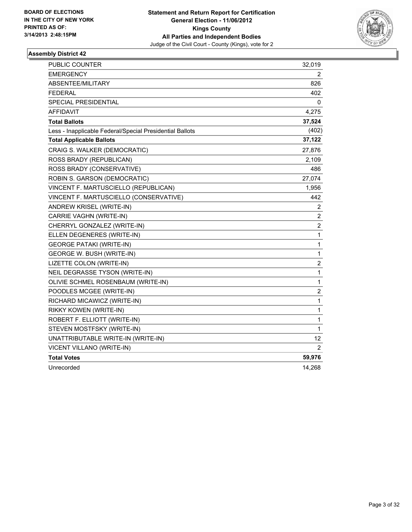

| PUBLIC COUNTER                                           | 32,019                  |
|----------------------------------------------------------|-------------------------|
| <b>EMERGENCY</b>                                         | 2                       |
| ABSENTEE/MILITARY                                        | 826                     |
| <b>FEDERAL</b>                                           | 402                     |
| SPECIAL PRESIDENTIAL                                     | 0                       |
| <b>AFFIDAVIT</b>                                         | 4,275                   |
| <b>Total Ballots</b>                                     | 37,524                  |
| Less - Inapplicable Federal/Special Presidential Ballots | (402)                   |
| <b>Total Applicable Ballots</b>                          | 37,122                  |
| CRAIG S. WALKER (DEMOCRATIC)                             | 27,876                  |
| ROSS BRADY (REPUBLICAN)                                  | 2,109                   |
| ROSS BRADY (CONSERVATIVE)                                | 486                     |
| ROBIN S. GARSON (DEMOCRATIC)                             | 27,074                  |
| VINCENT F. MARTUSCIELLO (REPUBLICAN)                     | 1,956                   |
| VINCENT F. MARTUSCIELLO (CONSERVATIVE)                   | 442                     |
| ANDREW KRISEL (WRITE-IN)                                 | $\overline{\mathbf{c}}$ |
| CARRIE VAGHN (WRITE-IN)                                  | $\overline{\mathbf{c}}$ |
| CHERRYL GONZALEZ (WRITE-IN)                              | $\overline{c}$          |
| ELLEN DEGENERES (WRITE-IN)                               | $\mathbf{1}$            |
| <b>GEORGE PATAKI (WRITE-IN)</b>                          | $\mathbf{1}$            |
| GEORGE W. BUSH (WRITE-IN)                                | $\mathbf 1$             |
| LIZETTE COLON (WRITE-IN)                                 | $\overline{c}$          |
| NEIL DEGRASSE TYSON (WRITE-IN)                           | $\mathbf{1}$            |
| OLIVIE SCHMEL ROSENBAUM (WRITE-IN)                       | $\mathbf{1}$            |
| POODLES MCGEE (WRITE-IN)                                 | $\overline{c}$          |
| RICHARD MICAWICZ (WRITE-IN)                              | $\mathbf{1}$            |
| RIKKY KOWEN (WRITE-IN)                                   | $\mathbf{1}$            |
| ROBERT F. ELLIOTT (WRITE-IN)                             | $\mathbf{1}$            |
| STEVEN MOSTFSKY (WRITE-IN)                               | $\mathbf{1}$            |
| UNATTRIBUTABLE WRITE-IN (WRITE-IN)                       | 12                      |
| VICENT VILLANO (WRITE-IN)                                | 2                       |
| <b>Total Votes</b>                                       | 59,976                  |
| Unrecorded                                               | 14,268                  |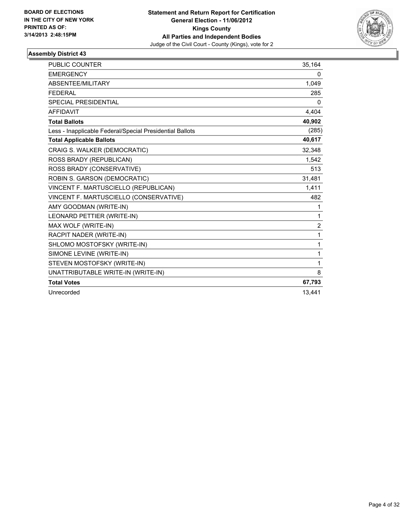

| <b>PUBLIC COUNTER</b>                                    | 35,164         |
|----------------------------------------------------------|----------------|
| <b>EMERGENCY</b>                                         | 0              |
| ABSENTEE/MILITARY                                        | 1,049          |
| <b>FFDFRAI</b>                                           | 285            |
| <b>SPECIAL PRESIDENTIAL</b>                              | $\Omega$       |
| <b>AFFIDAVIT</b>                                         | 4,404          |
| <b>Total Ballots</b>                                     | 40,902         |
| Less - Inapplicable Federal/Special Presidential Ballots | (285)          |
| <b>Total Applicable Ballots</b>                          | 40,617         |
| CRAIG S. WALKER (DEMOCRATIC)                             | 32,348         |
| ROSS BRADY (REPUBLICAN)                                  | 1,542          |
| ROSS BRADY (CONSERVATIVE)                                | 513            |
| ROBIN S. GARSON (DEMOCRATIC)                             | 31,481         |
| VINCENT F. MARTUSCIELLO (REPUBLICAN)                     | 1,411          |
| VINCENT F. MARTUSCIELLO (CONSERVATIVE)                   | 482            |
| AMY GOODMAN (WRITE-IN)                                   | 1              |
| LEONARD PETTIER (WRITE-IN)                               | 1              |
| MAX WOLF (WRITE-IN)                                      | $\overline{2}$ |
| RACPIT NADER (WRITE-IN)                                  | 1              |
| SHLOMO MOSTOFSKY (WRITE-IN)                              | 1              |
| SIMONE LEVINE (WRITE-IN)                                 | 1              |
| STEVEN MOSTOFSKY (WRITE-IN)                              | 1              |
| UNATTRIBUTABLE WRITE-IN (WRITE-IN)                       | 8              |
| <b>Total Votes</b>                                       | 67,793         |
| Unrecorded                                               | 13.441         |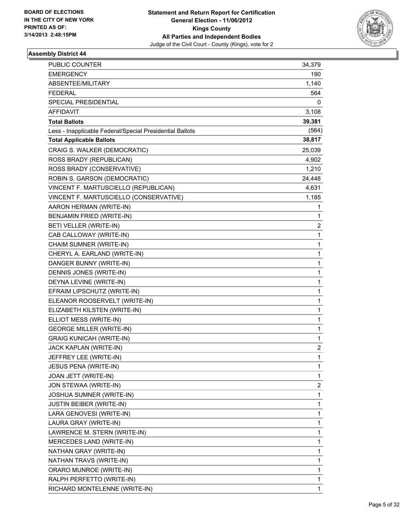

| PUBLIC COUNTER                                           | 34,379       |
|----------------------------------------------------------|--------------|
| <b>EMERGENCY</b>                                         | 190          |
| ABSENTEE/MILITARY                                        | 1,140        |
| <b>FEDERAL</b>                                           | 564          |
| SPECIAL PRESIDENTIAL                                     | 0            |
| AFFIDAVIT                                                | 3,108        |
| <b>Total Ballots</b>                                     | 39,381       |
| Less - Inapplicable Federal/Special Presidential Ballots | (564)        |
| <b>Total Applicable Ballots</b>                          | 38,817       |
| CRAIG S. WALKER (DEMOCRATIC)                             | 25,039       |
| ROSS BRADY (REPUBLICAN)                                  | 4,902        |
| ROSS BRADY (CONSERVATIVE)                                | 1,210        |
| ROBIN S. GARSON (DEMOCRATIC)                             | 24,448       |
| VINCENT F. MARTUSCIELLO (REPUBLICAN)                     | 4,631        |
| VINCENT F. MARTUSCIELLO (CONSERVATIVE)                   | 1,185        |
| AARON HERMAN (WRITE-IN)                                  | 1            |
| <b>BENJAMIN FRIED (WRITE-IN)</b>                         | 1            |
| BETI VELLER (WRITE-IN)                                   | 2            |
| CAB CALLOWAY (WRITE-IN)                                  | 1            |
| CHAIM SUMNER (WRITE-IN)                                  | 1            |
| CHERYL A. EARLAND (WRITE-IN)                             | 1            |
| DANGER BUNNY (WRITE-IN)                                  | 1            |
| DENNIS JONES (WRITE-IN)                                  | 1            |
| DEYNA LEVINE (WRITE-IN)                                  | 1            |
| EFRAIM LIPSCHUTZ (WRITE-IN)                              | 1            |
| ELEANOR ROOSERVELT (WRITE-IN)                            | $\mathbf 1$  |
| ELIZABETH KILSTEN (WRITE-IN)                             | 1            |
| ELLIOT MESS (WRITE-IN)                                   | 1            |
| <b>GEORGE MILLER (WRITE-IN)</b>                          | 1            |
| <b>GRAIG KUNICAH (WRITE-IN)</b>                          | 1            |
| JACK KAPLAN (WRITE-IN)                                   | 2            |
| JEFFREY LEE (WRITE-IN)                                   | 1            |
| JESUS PENA (WRITE-IN)                                    | 1            |
| JOAN JETT (WRITE-IN)                                     | $\mathbf 1$  |
| JON STEWAA (WRITE-IN)                                    | 2            |
| JOSHUA SUMNER (WRITE-IN)                                 | 1            |
| <b>JUSTIN BEIBER (WRITE-IN)</b>                          | 1            |
| LARA GENOVESI (WRITE-IN)                                 | 1            |
| LAURA GRAY (WRITE-IN)                                    | 1            |
| LAWRENCE M. STERN (WRITE-IN)                             | 1            |
| MERCEDES LAND (WRITE-IN)                                 | 1            |
| NATHAN GRAY (WRITE-IN)                                   | 1            |
| NATHAN TRAVS (WRITE-IN)                                  | 1            |
| ORARO MUNROE (WRITE-IN)                                  | 1            |
| RALPH PERFETTO (WRITE-IN)                                | 1            |
| RICHARD MONTELENNE (WRITE-IN)                            | $\mathbf{1}$ |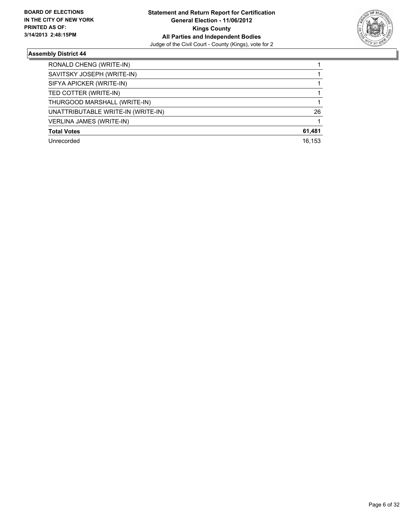

| RONALD CHENG (WRITE-IN)            |        |
|------------------------------------|--------|
| SAVITSKY JOSEPH (WRITE-IN)         |        |
| SIFYA APICKER (WRITE-IN)           |        |
| TED COTTER (WRITE-IN)              |        |
| THURGOOD MARSHALL (WRITE-IN)       |        |
| UNATTRIBUTABLE WRITE-IN (WRITE-IN) | 26     |
| <b>VERLINA JAMES (WRITE-IN)</b>    |        |
| <b>Total Votes</b>                 | 61,481 |
| Unrecorded                         | 16.153 |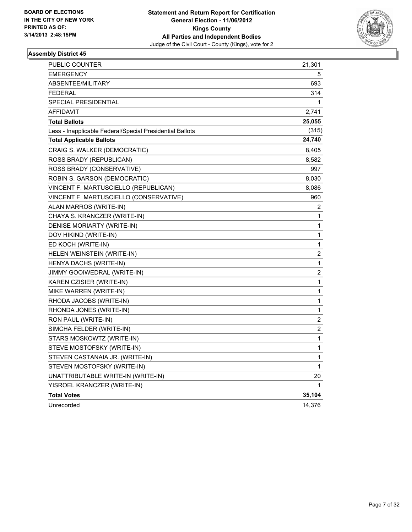

| PUBLIC COUNTER                                           | 21,301           |
|----------------------------------------------------------|------------------|
| <b>EMERGENCY</b>                                         | 5                |
| <b>ABSENTEE/MILITARY</b>                                 | 693              |
| <b>FEDERAL</b>                                           | 314              |
| SPECIAL PRESIDENTIAL                                     | 1                |
| AFFIDAVIT                                                | 2,741            |
| <b>Total Ballots</b>                                     | 25,055           |
| Less - Inapplicable Federal/Special Presidential Ballots | (315)            |
| <b>Total Applicable Ballots</b>                          | 24,740           |
| CRAIG S. WALKER (DEMOCRATIC)                             | 8,405            |
| ROSS BRADY (REPUBLICAN)                                  | 8,582            |
| ROSS BRADY (CONSERVATIVE)                                | 997              |
| ROBIN S. GARSON (DEMOCRATIC)                             | 8,030            |
| VINCENT F. MARTUSCIELLO (REPUBLICAN)                     | 8,086            |
| VINCENT F. MARTUSCIELLO (CONSERVATIVE)                   | 960              |
| ALAN MARROS (WRITE-IN)                                   | 2                |
| CHAYA S. KRANCZER (WRITE-IN)                             | 1                |
| DENISE MORIARTY (WRITE-IN)                               | 1                |
| DOV HIKIND (WRITE-IN)                                    | 1                |
| ED KOCH (WRITE-IN)                                       | 1                |
| HELEN WEINSTEIN (WRITE-IN)                               | 2                |
| HENYA DACHS (WRITE-IN)                                   | 1                |
| JIMMY GOOIWEDRAL (WRITE-IN)                              | $\boldsymbol{2}$ |
| KAREN CZISIER (WRITE-IN)                                 | 1                |
| MIKE WARREN (WRITE-IN)                                   | 1                |
| RHODA JACOBS (WRITE-IN)                                  | 1                |
| RHONDA JONES (WRITE-IN)                                  | 1                |
| RON PAUL (WRITE-IN)                                      | $\boldsymbol{2}$ |
| SIMCHA FELDER (WRITE-IN)                                 | 2                |
| STARS MOSKOWTZ (WRITE-IN)                                | 1                |
| STEVE MOSTOFSKY (WRITE-IN)                               | 1                |
| STEVEN CASTANAIA JR. (WRITE-IN)                          | 1                |
| STEVEN MOSTOFSKY (WRITE-IN)                              | 1                |
| UNATTRIBUTABLE WRITE-IN (WRITE-IN)                       | 20               |
| YISROEL KRANCZER (WRITE-IN)                              | 1                |
| <b>Total Votes</b>                                       | 35,104           |
| Unrecorded                                               | 14,376           |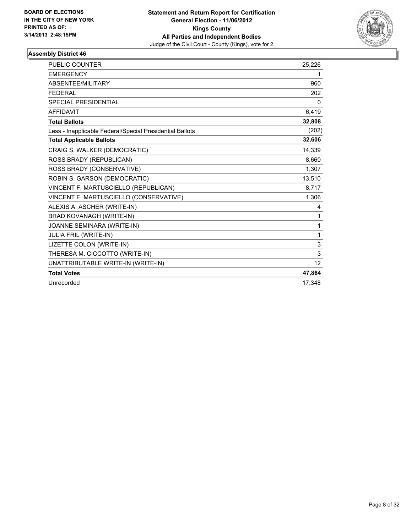

| <b>PUBLIC COUNTER</b>                                    | 25,226       |
|----------------------------------------------------------|--------------|
| <b>EMERGENCY</b>                                         | 1            |
| <b>ABSENTEE/MILITARY</b>                                 | 960          |
| <b>FEDERAL</b>                                           | 202          |
| <b>SPECIAL PRESIDENTIAL</b>                              | 0            |
| <b>AFFIDAVIT</b>                                         | 6,419        |
| <b>Total Ballots</b>                                     | 32,808       |
| Less - Inapplicable Federal/Special Presidential Ballots | (202)        |
| <b>Total Applicable Ballots</b>                          | 32,606       |
| CRAIG S. WALKER (DEMOCRATIC)                             | 14,339       |
| ROSS BRADY (REPUBLICAN)                                  | 8,660        |
| ROSS BRADY (CONSERVATIVE)                                | 1,307        |
| ROBIN S. GARSON (DEMOCRATIC)                             | 13,510       |
| VINCENT F. MARTUSCIELLO (REPUBLICAN)                     | 8,717        |
| VINCENT F. MARTUSCIELLO (CONSERVATIVE)                   | 1,306        |
| ALEXIS A. ASCHER (WRITE-IN)                              | 4            |
| BRAD KOVANAGH (WRITE-IN)                                 | 1            |
| JOANNE SEMINARA (WRITE-IN)                               | 1            |
| <b>JULIA FRIL (WRITE-IN)</b>                             | $\mathbf{1}$ |
| LIZETTE COLON (WRITE-IN)                                 | 3            |
| THERESA M. CICCOTTO (WRITE-IN)                           | 3            |
| UNATTRIBUTABLE WRITE-IN (WRITE-IN)                       | 12           |
| <b>Total Votes</b>                                       | 47,864       |
| Unrecorded                                               | 17,348       |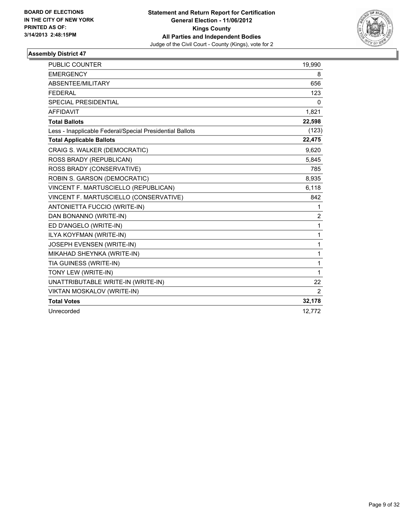

| <b>PUBLIC COUNTER</b>                                    | 19,990         |
|----------------------------------------------------------|----------------|
| <b>EMERGENCY</b>                                         | 8              |
| ABSENTEE/MILITARY                                        | 656            |
| <b>FEDERAL</b>                                           | 123            |
| <b>SPECIAL PRESIDENTIAL</b>                              | 0              |
| <b>AFFIDAVIT</b>                                         | 1,821          |
| <b>Total Ballots</b>                                     | 22,598         |
| Less - Inapplicable Federal/Special Presidential Ballots | (123)          |
| <b>Total Applicable Ballots</b>                          | 22,475         |
| CRAIG S. WALKER (DEMOCRATIC)                             | 9,620          |
| ROSS BRADY (REPUBLICAN)                                  | 5,845          |
| ROSS BRADY (CONSERVATIVE)                                | 785            |
| ROBIN S. GARSON (DEMOCRATIC)                             | 8,935          |
| VINCENT F. MARTUSCIELLO (REPUBLICAN)                     | 6,118          |
| VINCENT F. MARTUSCIELLO (CONSERVATIVE)                   | 842            |
| ANTONIETTA FUCCIO (WRITE-IN)                             | 1              |
| DAN BONANNO (WRITE-IN)                                   | $\overline{2}$ |
| ED D'ANGELO (WRITE-IN)                                   | 1              |
| ILYA KOYFMAN (WRITE-IN)                                  | 1              |
| JOSEPH EVENSEN (WRITE-IN)                                | 1              |
| MIKAHAD SHEYNKA (WRITE-IN)                               | 1              |
| TIA GUINESS (WRITE-IN)                                   | 1              |
| TONY LEW (WRITE-IN)                                      | 1              |
| UNATTRIBUTABLE WRITE-IN (WRITE-IN)                       | 22             |
| VIKTAN MOSKALOV (WRITE-IN)                               | 2              |
| <b>Total Votes</b>                                       | 32,178         |
| Unrecorded                                               | 12,772         |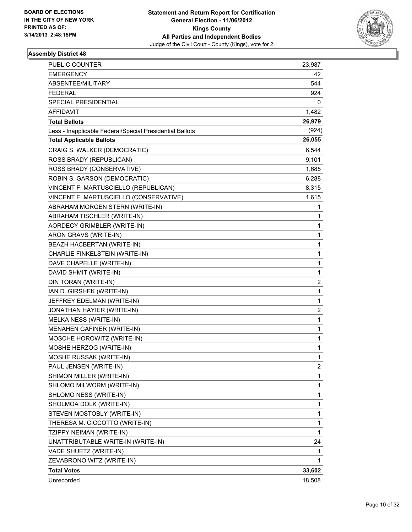

| PUBLIC COUNTER                                           | 23,987         |
|----------------------------------------------------------|----------------|
| <b>EMERGENCY</b>                                         | 42             |
| ABSENTEE/MILITARY                                        | 544            |
| <b>FEDERAL</b>                                           | 924            |
| SPECIAL PRESIDENTIAL                                     | 0              |
| AFFIDAVIT                                                | 1,482          |
| <b>Total Ballots</b>                                     | 26,979         |
| Less - Inapplicable Federal/Special Presidential Ballots | (924)          |
| <b>Total Applicable Ballots</b>                          | 26,055         |
| CRAIG S. WALKER (DEMOCRATIC)                             | 6,544          |
| ROSS BRADY (REPUBLICAN)                                  | 9,101          |
| ROSS BRADY (CONSERVATIVE)                                | 1,685          |
| ROBIN S. GARSON (DEMOCRATIC)                             | 6,288          |
| VINCENT F. MARTUSCIELLO (REPUBLICAN)                     | 8,315          |
| VINCENT F. MARTUSCIELLO (CONSERVATIVE)                   | 1,615          |
| ABRAHAM MORGEN STERN (WRITE-IN)                          | 1              |
| ABRAHAM TISCHLER (WRITE-IN)                              | 1              |
| AORDECY GRIMBLER (WRITE-IN)                              | 1              |
| ARON GRAVS (WRITE-IN)                                    | 1              |
| BEAZH HACBERTAN (WRITE-IN)                               | 1              |
| CHARLIE FINKELSTEIN (WRITE-IN)                           | 1              |
| DAVE CHAPELLE (WRITE-IN)                                 | 1              |
| DAVID SHMIT (WRITE-IN)                                   | 1              |
| DIN TORAN (WRITE-IN)                                     | 2              |
| IAN D. GIRSHEK (WRITE-IN)                                | 1              |
| JEFFREY EDELMAN (WRITE-IN)                               | 1              |
| JONATHAN HAYIER (WRITE-IN)                               | 2              |
| MELKA NESS (WRITE-IN)                                    | 1              |
| MENAHEN GAFINER (WRITE-IN)                               | 1              |
| MOSCHE HOROWITZ (WRITE-IN)                               | 1              |
| MOSHE HERZOG (WRITE-IN)                                  | 1              |
| MOSHE RUSSAK (WRITE-IN)                                  | 1              |
| PAUL JENSEN (WRITE-IN)                                   | $\overline{c}$ |
| SHIMON MILLER (WRITE-IN)                                 | 1              |
| SHLOMO MILWORM (WRITE-IN)                                | 1              |
| SHLOMO NESS (WRITE-IN)                                   | 1              |
| SHOLMOA DOLK (WRITE-IN)                                  | 1              |
| STEVEN MOSTOBLY (WRITE-IN)                               | 1              |
| THERESA M. CICCOTTO (WRITE-IN)                           | 1              |
| TZIPPY NEIMAN (WRITE-IN)                                 | 1              |
| UNATTRIBUTABLE WRITE-IN (WRITE-IN)                       | 24             |
| VADE SHUETZ (WRITE-IN)                                   | 1              |
| ZEVABRONO WITZ (WRITE-IN)                                | 1              |
| <b>Total Votes</b>                                       | 33,602         |
| Unrecorded                                               | 18,508         |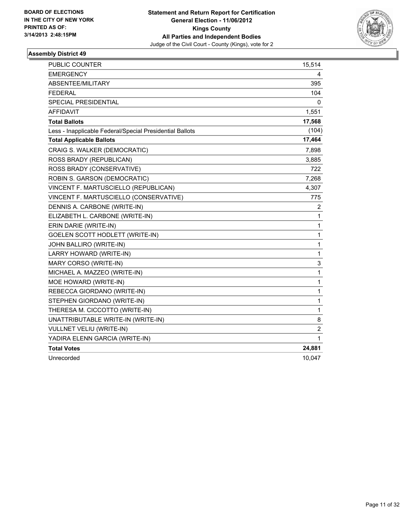

| PUBLIC COUNTER                                           | 15,514         |
|----------------------------------------------------------|----------------|
| EMERGENCY                                                | 4              |
| <b>ABSENTEE/MILITARY</b>                                 | 395            |
| <b>FEDERAL</b>                                           | 104            |
| SPECIAL PRESIDENTIAL                                     | 0              |
| <b>AFFIDAVIT</b>                                         | 1,551          |
| <b>Total Ballots</b>                                     | 17,568         |
| Less - Inapplicable Federal/Special Presidential Ballots | (104)          |
| <b>Total Applicable Ballots</b>                          | 17,464         |
| CRAIG S. WALKER (DEMOCRATIC)                             | 7,898          |
| ROSS BRADY (REPUBLICAN)                                  | 3,885          |
| ROSS BRADY (CONSERVATIVE)                                | 722            |
| ROBIN S. GARSON (DEMOCRATIC)                             | 7,268          |
| VINCENT F. MARTUSCIELLO (REPUBLICAN)                     | 4,307          |
| VINCENT F. MARTUSCIELLO (CONSERVATIVE)                   | 775            |
| DENNIS A. CARBONE (WRITE-IN)                             | 2              |
| ELIZABETH L. CARBONE (WRITE-IN)                          | $\mathbf{1}$   |
| ERIN DARIE (WRITE-IN)                                    | $\mathbf{1}$   |
| GOELEN SCOTT HODLETT (WRITE-IN)                          | $\mathbf{1}$   |
| JOHN BALLIRO (WRITE-IN)                                  | $\mathbf{1}$   |
| LARRY HOWARD (WRITE-IN)                                  | $\mathbf{1}$   |
| MARY CORSO (WRITE-IN)                                    | 3              |
| MICHAEL A. MAZZEO (WRITE-IN)                             | $\mathbf{1}$   |
| MOE HOWARD (WRITE-IN)                                    | $\mathbf{1}$   |
| REBECCA GIORDANO (WRITE-IN)                              | 1              |
| STEPHEN GIORDANO (WRITE-IN)                              | 1              |
| THERESA M. CICCOTTO (WRITE-IN)                           | $\mathbf{1}$   |
| UNATTRIBUTABLE WRITE-IN (WRITE-IN)                       | 8              |
| VULLNET VELIU (WRITE-IN)                                 | $\overline{c}$ |
| YADIRA ELENN GARCIA (WRITE-IN)                           | $\mathbf 1$    |
| <b>Total Votes</b>                                       | 24,881         |
| Unrecorded                                               | 10,047         |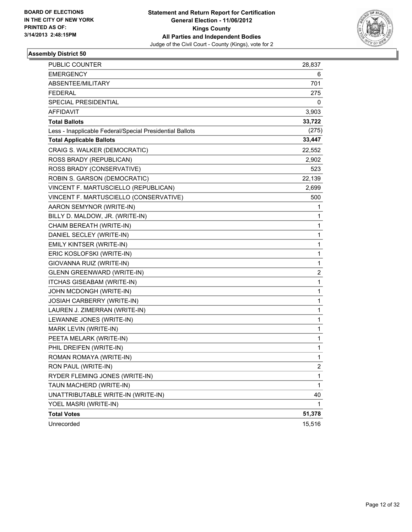

| PUBLIC COUNTER                                           | 28,837       |
|----------------------------------------------------------|--------------|
| <b>EMERGENCY</b>                                         | 6            |
| ABSENTEE/MILITARY                                        | 701          |
| FEDERAL                                                  | 275          |
| SPECIAL PRESIDENTIAL                                     | 0            |
| AFFIDAVIT                                                | 3,903        |
| <b>Total Ballots</b>                                     | 33,722       |
| Less - Inapplicable Federal/Special Presidential Ballots | (275)        |
| <b>Total Applicable Ballots</b>                          | 33,447       |
| CRAIG S. WALKER (DEMOCRATIC)                             | 22,552       |
| ROSS BRADY (REPUBLICAN)                                  | 2,902        |
| ROSS BRADY (CONSERVATIVE)                                | 523          |
| ROBIN S. GARSON (DEMOCRATIC)                             | 22,139       |
| VINCENT F. MARTUSCIELLO (REPUBLICAN)                     | 2,699        |
| VINCENT F. MARTUSCIELLO (CONSERVATIVE)                   | 500          |
| AARON SEMYNOR (WRITE-IN)                                 | 1            |
| BILLY D. MALDOW, JR. (WRITE-IN)                          | 1            |
| CHAIM BEREATH (WRITE-IN)                                 | 1            |
| DANIEL SECLEY (WRITE-IN)                                 | 1            |
| EMILY KINTSER (WRITE-IN)                                 | 1            |
| ERIC KOSLOFSKI (WRITE-IN)                                | 1            |
| GIOVANNA RUIZ (WRITE-IN)                                 | 1            |
| GLENN GREENWARD (WRITE-IN)                               | 2            |
| <b>ITCHAS GISEABAM (WRITE-IN)</b>                        | 1            |
| JOHN MCDONGH (WRITE-IN)                                  | 1            |
| JOSIAH CARBERRY (WRITE-IN)                               | 1            |
| LAUREN J. ZIMERRAN (WRITE-IN)                            | 1            |
| LEWANNE JONES (WRITE-IN)                                 | 1            |
| MARK LEVIN (WRITE-IN)                                    | 1            |
| PEETA MELARK (WRITE-IN)                                  | $\mathbf{1}$ |
| PHIL DREIFEN (WRITE-IN)                                  | 1            |
| ROMAN ROMAYA (WRITE-IN)                                  | 1            |
| RON PAUL (WRITE-IN)                                      | 2            |
| RYDER FLEMING JONES (WRITE-IN)                           | 1            |
| TAUN MACHERD (WRITE-IN)                                  | 1            |
| UNATTRIBUTABLE WRITE-IN (WRITE-IN)                       | 40           |
| YOEL MASRI (WRITE-IN)                                    | 1            |
| <b>Total Votes</b>                                       | 51,378       |
| Unrecorded                                               | 15,516       |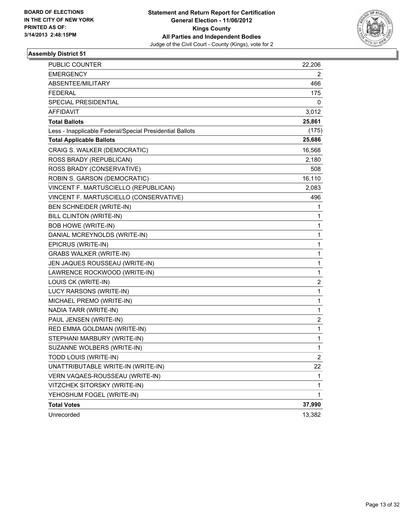

| PUBLIC COUNTER                                           | 22,206       |
|----------------------------------------------------------|--------------|
| <b>EMERGENCY</b>                                         | 2            |
| ABSENTEE/MILITARY                                        | 466          |
| FEDERAL                                                  | 175          |
| SPECIAL PRESIDENTIAL                                     | 0            |
| AFFIDAVIT                                                | 3,012        |
| <b>Total Ballots</b>                                     | 25,861       |
| Less - Inapplicable Federal/Special Presidential Ballots | (175)        |
| <b>Total Applicable Ballots</b>                          | 25,686       |
| CRAIG S. WALKER (DEMOCRATIC)                             | 16,568       |
| ROSS BRADY (REPUBLICAN)                                  | 2,180        |
| ROSS BRADY (CONSERVATIVE)                                | 508          |
| ROBIN S. GARSON (DEMOCRATIC)                             | 16,110       |
| VINCENT F. MARTUSCIELLO (REPUBLICAN)                     | 2,083        |
| VINCENT F. MARTUSCIELLO (CONSERVATIVE)                   | 496          |
| BEN SCHNEIDER (WRITE-IN)                                 | 1            |
| BILL CLINTON (WRITE-IN)                                  | 1            |
| <b>BOB HOWE (WRITE-IN)</b>                               | 1            |
| DANIAL MCREYNOLDS (WRITE-IN)                             | 1            |
| EPICRUS (WRITE-IN)                                       | 1            |
| <b>GRABS WALKER (WRITE-IN)</b>                           | 1            |
| JEN JAQUES ROUSSEAU (WRITE-IN)                           | 1            |
| LAWRENCE ROCKWOOD (WRITE-IN)                             | 1            |
| LOUIS CK (WRITE-IN)                                      | 2            |
| LUCY RARSONS (WRITE-IN)                                  | 1            |
| MICHAEL PREMO (WRITE-IN)                                 | 1            |
| NADIA TARR (WRITE-IN)                                    | 1            |
| PAUL JENSEN (WRITE-IN)                                   | 2            |
| RED EMMA GOLDMAN (WRITE-IN)                              | 1            |
| STEPHANI MARBURY (WRITE-IN)                              | 1            |
| SUZANNE WOLBERS (WRITE-IN)                               | 1            |
| TODD LOUIS (WRITE-IN)                                    | 2            |
| UNATTRIBUTABLE WRITE-IN (WRITE-IN)                       | 22           |
| VERN VAQAES-ROUSSEAU (WRITE-IN)                          | 1            |
| VITZCHEK SITORSKY (WRITE-IN)                             | 1            |
| YEHOSHUM FOGEL (WRITE-IN)                                | $\mathbf{1}$ |
| <b>Total Votes</b>                                       | 37,990       |
| Unrecorded                                               | 13,382       |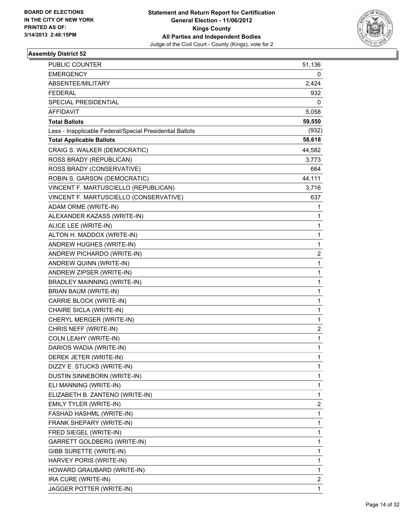

| PUBLIC COUNTER                                           | 51,136 |
|----------------------------------------------------------|--------|
| <b>EMERGENCY</b>                                         | 0      |
| ABSENTEE/MILITARY                                        | 2,424  |
| <b>FEDERAL</b>                                           | 932    |
| SPECIAL PRESIDENTIAL                                     | 0      |
| AFFIDAVIT                                                | 5,058  |
| <b>Total Ballots</b>                                     | 59,550 |
| Less - Inapplicable Federal/Special Presidential Ballots | (932)  |
| <b>Total Applicable Ballots</b>                          | 58,618 |
| CRAIG S. WALKER (DEMOCRATIC)                             | 44,582 |
| ROSS BRADY (REPUBLICAN)                                  | 3,773  |
| ROSS BRADY (CONSERVATIVE)                                | 664    |
| ROBIN S. GARSON (DEMOCRATIC)                             | 44,111 |
| VINCENT F. MARTUSCIELLO (REPUBLICAN)                     | 3,716  |
| VINCENT F. MARTUSCIELLO (CONSERVATIVE)                   | 637    |
| ADAM ORME (WRITE-IN)                                     | 1      |
| ALEXANDER KAZASS (WRITE-IN)                              | 1      |
| ALICE LEE (WRITE-IN)                                     | 1      |
| ALTON H. MADDOX (WRITE-IN)                               | 1      |
| ANDREW HUGHES (WRITE-IN)                                 | 1      |
| ANDREW PICHARDO (WRITE-IN)                               | 2      |
| ANDREW QUINN (WRITE-IN)                                  | 1      |
| ANDREW ZIPSER (WRITE-IN)                                 | 1      |
| BRADLEY MAINNING (WRITE-IN)                              | 1      |
| BRIAN BAUM (WRITE-IN)                                    | 1      |
| CARRIE BLOCK (WRITE-IN)                                  | 1      |
| CHAIRE SICLA (WRITE-IN)                                  | 1      |
| CHERYL MERGER (WRITE-IN)                                 | 1      |
| CHRIS NEFF (WRITE-IN)                                    | 2      |
| COLN LEAHY (WRITE-IN)                                    | 1      |
| DARIOS WADIA (WRITE-IN)                                  | 1      |
| DEREK JETER (WRITE-IN)                                   | 1      |
| DIZZY E. STUCKS (WRITE-IN)                               | 1      |
| DUSTIN SINNEBORN (WRITE-IN)                              | 1      |
| ELI MANNING (WRITE-IN)                                   | 1      |
| ELIZABETH B. ZANTENO (WRITE-IN)                          | 1      |
| EMILY TYLER (WRITE-IN)                                   | 2      |
| FASHAD HASHML (WRITE-IN)                                 | 1      |
| FRANK SHEPARY (WRITE-IN)                                 | 1      |
| FRED SIEGEL (WRITE-IN)                                   | 1      |
| GARRETT GOLDBERG (WRITE-IN)                              | 1      |
| GIBB SURETTE (WRITE-IN)                                  | 1      |
| HARVEY PORIS (WRITE-IN)                                  | 1      |
| HOWARD GRAUBARD (WRITE-IN)                               | 1      |
| IRA CURE (WRITE-IN)                                      | 2      |
| JAGGER POTTER (WRITE-IN)                                 | 1      |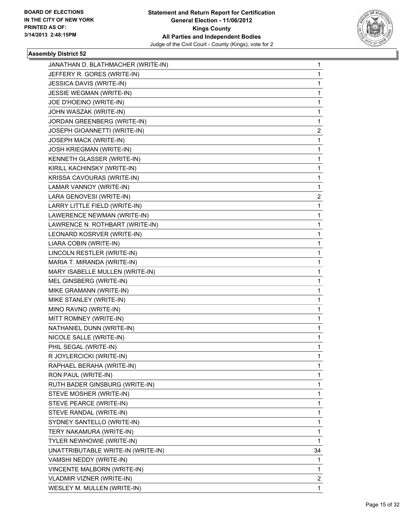

| JANATHAN D. BLATHMACHER (WRITE-IN) | 1              |
|------------------------------------|----------------|
| JEFFERY R. GORES (WRITE-IN)        | 1              |
| JESSICA DAVIS (WRITE-IN)           | 1              |
| JESSIE WEGMAN (WRITE-IN)           | 1              |
| JOE D'HOEINO (WRITE-IN)            | 1              |
| JOHN WASZAK (WRITE-IN)             | 1              |
| JORDAN GREENBERG (WRITE-IN)        | 1              |
| JOSEPH GIOANNETTI (WRITE-IN)       | 2              |
| JOSEPH MACK (WRITE-IN)             | 1              |
| <b>JOSH KRIEGMAN (WRITE-IN)</b>    | 1              |
| KENNETH GLASSER (WRITE-IN)         | 1              |
| KIRILL KACHINSKY (WRITE-IN)        | 1              |
| KRISSA CAVOURAS (WRITE-IN)         | 1              |
| LAMAR VANNOY (WRITE-IN)            | 1              |
| LARA GENOVESI (WRITE-IN)           | 2              |
| LARRY LITTLE FIELD (WRITE-IN)      | 1              |
| LAWERENCE NEWMAN (WRITE-IN)        | 1              |
| LAWRENCE N. ROTHBART (WRITE-IN)    | 1              |
| LEONARD KOSRVER (WRITE-IN)         | 1              |
| LIARA COBIN (WRITE-IN)             | 1              |
| LINCOLN RESTLER (WRITE-IN)         | 1              |
| MARIA T. MIRANDA (WRITE-IN)        | 1              |
| MARY ISABELLE MULLEN (WRITE-IN)    | 1              |
| MEL GINSBERG (WRITE-IN)            | 1              |
| MIKE GRAMANN (WRITE-IN)            | 1              |
| MIKE STANLEY (WRITE-IN)            | 1              |
| MINO RAVNO (WRITE-IN)              | 1              |
| MITT ROMNEY (WRITE-IN)             | 1              |
| NATHANIEL DUNN (WRITE-IN)          | 1              |
| NICOLE SALLE (WRITE-IN)            | 1              |
| PHIL SEGAL (WRITE-IN)              | 1              |
| R JOYLERCICKI (WRITE-IN)           | 1              |
| RAPHAEL BERAHA (WRITE-IN)          | 1              |
| RON PAUL (WRITE-IN)                | $\mathbf{1}$   |
| RUTH BADER GINSBURG (WRITE-IN)     | 1              |
| STEVE MOSHER (WRITE-IN)            | 1              |
| STEVE PEARCE (WRITE-IN)            | 1              |
| STEVE RANDAL (WRITE-IN)            | 1              |
| SYDNEY SANTELLO (WRITE-IN)         | 1              |
| TERY NAKAMURA (WRITE-IN)           | 1              |
| TYLER NEWHOWIE (WRITE-IN)          | 1              |
| UNATTRIBUTABLE WRITE-IN (WRITE-IN) | 34             |
| VAMSHI NEDDY (WRITE-IN)            | 1              |
| VINCENTE MALBORN (WRITE-IN)        | 1              |
| VLADMIR VIZNER (WRITE-IN)          | $\overline{2}$ |
| WESLEY M. MULLEN (WRITE-IN)        | 1              |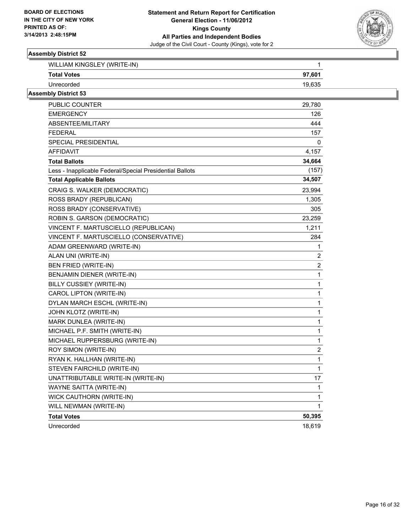

| WILLIAM KINGSLEY (WRITE-IN) |        |
|-----------------------------|--------|
| <b>Total Votes</b>          | 97,601 |
| Unrecorded                  | 19,635 |

| PUBLIC COUNTER                                           | 29,780           |
|----------------------------------------------------------|------------------|
| <b>EMERGENCY</b>                                         | 126              |
| ABSENTEE/MILITARY                                        | 444              |
| <b>FEDERAL</b>                                           | 157              |
| SPECIAL PRESIDENTIAL                                     | 0                |
| AFFIDAVIT                                                | 4,157            |
| <b>Total Ballots</b>                                     | 34,664           |
| Less - Inapplicable Federal/Special Presidential Ballots | (157)            |
| <b>Total Applicable Ballots</b>                          | 34,507           |
| CRAIG S. WALKER (DEMOCRATIC)                             | 23,994           |
| ROSS BRADY (REPUBLICAN)                                  | 1,305            |
| ROSS BRADY (CONSERVATIVE)                                | 305              |
| ROBIN S. GARSON (DEMOCRATIC)                             | 23,259           |
| VINCENT F. MARTUSCIELLO (REPUBLICAN)                     | 1,211            |
| VINCENT F. MARTUSCIELLO (CONSERVATIVE)                   | 284              |
| ADAM GREENWARD (WRITE-IN)                                | 1                |
| ALAN UNI (WRITE-IN)                                      | 2                |
| <b>BEN FRIED (WRITE-IN)</b>                              | $\overline{c}$   |
| BENJAMIN DIENER (WRITE-IN)                               | $\mathbf 1$      |
| BILLY CUSSIEY (WRITE-IN)                                 | $\mathbf{1}$     |
| CAROL LIPTON (WRITE-IN)                                  | $\mathbf{1}$     |
| DYLAN MARCH ESCHL (WRITE-IN)                             | 1                |
| JOHN KLOTZ (WRITE-IN)                                    | 1                |
| MARK DUNLEA (WRITE-IN)                                   | 1                |
| MICHAEL P.F. SMITH (WRITE-IN)                            | 1                |
| MICHAEL RUPPERSBURG (WRITE-IN)                           | 1                |
| ROY SIMON (WRITE-IN)                                     | $\boldsymbol{2}$ |
| RYAN K. HALLHAN (WRITE-IN)                               | 1                |
| STEVEN FAIRCHILD (WRITE-IN)                              | 1                |
| UNATTRIBUTABLE WRITE-IN (WRITE-IN)                       | 17               |
| <b>WAYNE SAITTA (WRITE-IN)</b>                           | 1                |
| <b>WICK CAUTHORN (WRITE-IN)</b>                          | 1                |
| WILL NEWMAN (WRITE-IN)                                   | 1                |
| <b>Total Votes</b>                                       | 50,395           |
| Unrecorded                                               | 18,619           |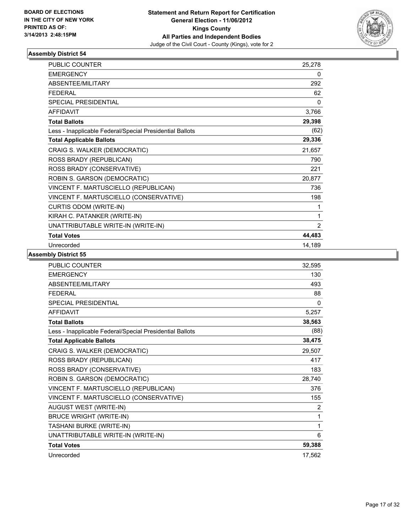

| <b>PUBLIC COUNTER</b>                                    | 25,278 |
|----------------------------------------------------------|--------|
| <b>EMERGENCY</b>                                         | 0      |
| <b>ABSENTEE/MILITARY</b>                                 | 292    |
| <b>FFDFRAI</b>                                           | 62     |
| <b>SPECIAL PRESIDENTIAL</b>                              | 0      |
| <b>AFFIDAVIT</b>                                         | 3,766  |
| <b>Total Ballots</b>                                     | 29,398 |
| Less - Inapplicable Federal/Special Presidential Ballots | (62)   |
| <b>Total Applicable Ballots</b>                          | 29,336 |
| CRAIG S. WALKER (DEMOCRATIC)                             | 21,657 |
| ROSS BRADY (REPUBLICAN)                                  | 790    |
| ROSS BRADY (CONSERVATIVE)                                | 221    |
| ROBIN S. GARSON (DEMOCRATIC)                             | 20,877 |
| VINCENT F. MARTUSCIELLO (REPUBLICAN)                     | 736    |
| VINCENT F. MARTUSCIELLO (CONSERVATIVE)                   | 198    |
| CURTIS ODOM (WRITE-IN)                                   | 1      |
| KIRAH C. PATANKER (WRITE-IN)                             | 1      |
| UNATTRIBUTABLE WRITE-IN (WRITE-IN)                       | 2      |
| <b>Total Votes</b>                                       | 44,483 |
| Unrecorded                                               | 14,189 |

| <b>PUBLIC COUNTER</b>                                    | 32,595 |
|----------------------------------------------------------|--------|
| <b>EMERGENCY</b>                                         | 130    |
| ABSENTEE/MILITARY                                        | 493    |
| <b>FFDFRAL</b>                                           | 88     |
| <b>SPECIAL PRESIDENTIAL</b>                              | 0      |
| <b>AFFIDAVIT</b>                                         | 5,257  |
| <b>Total Ballots</b>                                     | 38,563 |
| Less - Inapplicable Federal/Special Presidential Ballots | (88)   |
| <b>Total Applicable Ballots</b>                          | 38,475 |
| CRAIG S. WALKER (DEMOCRATIC)                             | 29,507 |
| ROSS BRADY (REPUBLICAN)                                  | 417    |
| ROSS BRADY (CONSERVATIVE)                                | 183    |
| ROBIN S. GARSON (DEMOCRATIC)                             | 28,740 |
| VINCENT F. MARTUSCIELLO (REPUBLICAN)                     | 376    |
| VINCENT F. MARTUSCIELLO (CONSERVATIVE)                   | 155    |
| AUGUST WEST (WRITE-IN)                                   | 2      |
| <b>BRUCE WRIGHT (WRITE-IN)</b>                           | 1      |
| TASHANI BURKE (WRITE-IN)                                 | 1      |
| UNATTRIBUTABLE WRITE-IN (WRITE-IN)                       | 6      |
| <b>Total Votes</b>                                       | 59,388 |
| Unrecorded                                               | 17.562 |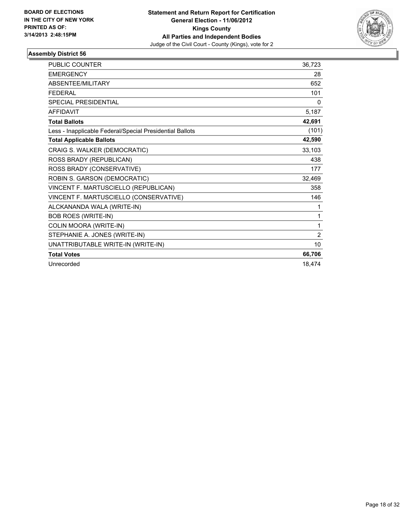

| <b>PUBLIC COUNTER</b>                                    | 36,723 |
|----------------------------------------------------------|--------|
| <b>EMERGENCY</b>                                         | 28     |
| ABSENTEE/MILITARY                                        | 652    |
| <b>FEDERAL</b>                                           | 101    |
| <b>SPECIAL PRESIDENTIAL</b>                              | 0      |
| <b>AFFIDAVIT</b>                                         | 5,187  |
| <b>Total Ballots</b>                                     | 42,691 |
| Less - Inapplicable Federal/Special Presidential Ballots | (101)  |
| <b>Total Applicable Ballots</b>                          | 42,590 |
| CRAIG S. WALKER (DEMOCRATIC)                             | 33,103 |
| ROSS BRADY (REPUBLICAN)                                  | 438    |
| ROSS BRADY (CONSERVATIVE)                                | 177    |
| ROBIN S. GARSON (DEMOCRATIC)                             | 32,469 |
| VINCENT F. MARTUSCIELLO (REPUBLICAN)                     | 358    |
| VINCENT F. MARTUSCIELLO (CONSERVATIVE)                   | 146    |
| ALCKANANDA WALA (WRITE-IN)                               | 1      |
| <b>BOB ROES (WRITE-IN)</b>                               | 1      |
| COLIN MOORA (WRITE-IN)                                   | 1      |
| STEPHANIE A. JONES (WRITE-IN)                            | 2      |
| UNATTRIBUTABLE WRITE-IN (WRITE-IN)                       | 10     |
| <b>Total Votes</b>                                       | 66,706 |
| Unrecorded                                               | 18,474 |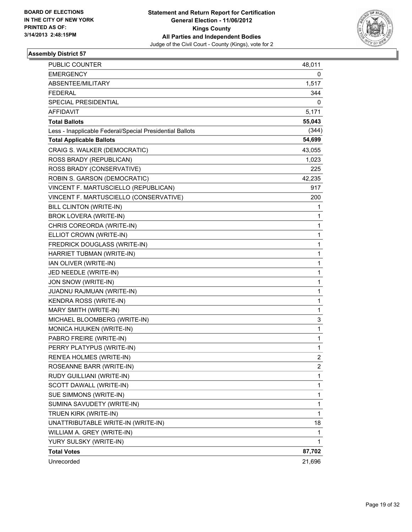

| <b>PUBLIC COUNTER</b>                                    | 48,011         |
|----------------------------------------------------------|----------------|
| <b>EMERGENCY</b>                                         | 0              |
| ABSENTEE/MILITARY                                        | 1,517          |
| <b>FEDERAL</b>                                           | 344            |
| SPECIAL PRESIDENTIAL                                     | 0              |
| AFFIDAVIT                                                | 5,171          |
| <b>Total Ballots</b>                                     | 55,043         |
| Less - Inapplicable Federal/Special Presidential Ballots | (344)          |
| <b>Total Applicable Ballots</b>                          | 54,699         |
| CRAIG S. WALKER (DEMOCRATIC)                             | 43,055         |
| ROSS BRADY (REPUBLICAN)                                  | 1,023          |
| ROSS BRADY (CONSERVATIVE)                                | 225            |
| ROBIN S. GARSON (DEMOCRATIC)                             | 42,235         |
| VINCENT F. MARTUSCIELLO (REPUBLICAN)                     | 917            |
| VINCENT F. MARTUSCIELLO (CONSERVATIVE)                   | 200            |
| BILL CLINTON (WRITE-IN)                                  | 1              |
| BROK LOVERA (WRITE-IN)                                   | 1              |
| CHRIS COREORDA (WRITE-IN)                                | 1              |
| ELLIOT CROWN (WRITE-IN)                                  | 1              |
| FREDRICK DOUGLASS (WRITE-IN)                             | 1              |
| HARRIET TUBMAN (WRITE-IN)                                | 1              |
| IAN OLIVER (WRITE-IN)                                    | 1              |
| JED NEEDLE (WRITE-IN)                                    | 1              |
| JON SNOW (WRITE-IN)                                      | 1              |
| JUADNU RAJMUAN (WRITE-IN)                                | 1              |
| KENDRA ROSS (WRITE-IN)                                   | 1              |
| MARY SMITH (WRITE-IN)                                    | 1              |
| MICHAEL BLOOMBERG (WRITE-IN)                             | 3              |
| MONICA HUUKEN (WRITE-IN)                                 | 1              |
| PABRO FREIRE (WRITE-IN)                                  | 1              |
| PERRY PLATYPUS (WRITE-IN)                                | 1              |
| REN'EA HOLMES (WRITE-IN)                                 | 2              |
| ROSEANNE BARR (WRITE-IN)                                 | $\overline{c}$ |
| RUDY GUILLIANI (WRITE-IN)                                | 1              |
| SCOTT DAWALL (WRITE-IN)                                  | 1              |
| SUE SIMMONS (WRITE-IN)                                   | 1              |
| SUMINA SAVUDETY (WRITE-IN)                               | 1              |
| TRUEN KIRK (WRITE-IN)                                    | 1              |
| UNATTRIBUTABLE WRITE-IN (WRITE-IN)                       | 18             |
| WILLIAM A. GREY (WRITE-IN)                               | 1              |
| YURY SULSKY (WRITE-IN)                                   | 1              |
| <b>Total Votes</b>                                       | 87,702         |
| Unrecorded                                               | 21,696         |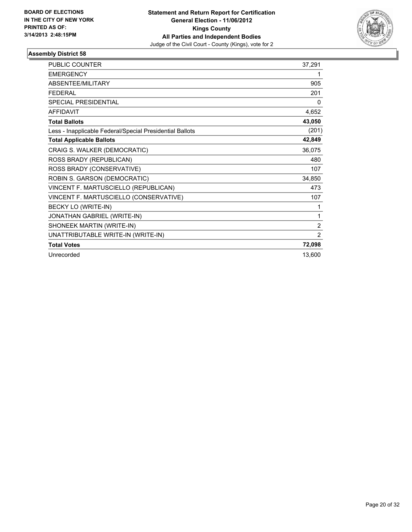

| PUBLIC COUNTER                                           | 37,291         |
|----------------------------------------------------------|----------------|
| <b>EMERGENCY</b>                                         | 1              |
| <b>ABSENTEE/MILITARY</b>                                 | 905            |
| <b>FEDERAL</b>                                           | 201            |
| <b>SPECIAL PRESIDENTIAL</b>                              | 0              |
| <b>AFFIDAVIT</b>                                         | 4,652          |
| <b>Total Ballots</b>                                     | 43,050         |
| Less - Inapplicable Federal/Special Presidential Ballots | (201)          |
| <b>Total Applicable Ballots</b>                          | 42,849         |
| CRAIG S. WALKER (DEMOCRATIC)                             | 36,075         |
| ROSS BRADY (REPUBLICAN)                                  | 480            |
| ROSS BRADY (CONSERVATIVE)                                | 107            |
| ROBIN S. GARSON (DEMOCRATIC)                             | 34,850         |
| VINCENT F. MARTUSCIELLO (REPUBLICAN)                     | 473            |
| VINCENT F. MARTUSCIELLO (CONSERVATIVE)                   | 107            |
| BECKY LO (WRITE-IN)                                      | 1              |
| JONATHAN GABRIEL (WRITE-IN)                              | 1              |
| SHONEEK MARTIN (WRITE-IN)                                | $\overline{2}$ |
| UNATTRIBUTABLE WRITE-IN (WRITE-IN)                       | $\overline{2}$ |
| <b>Total Votes</b>                                       | 72,098         |
| Unrecorded                                               | 13,600         |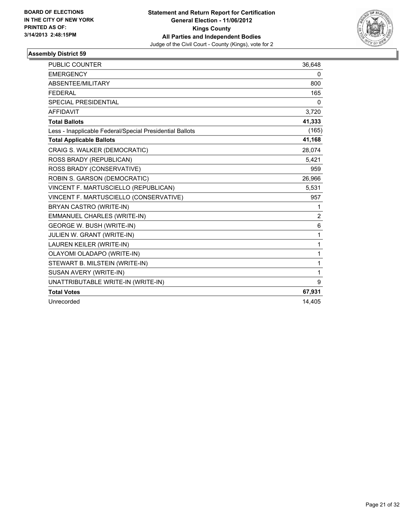

| <b>PUBLIC COUNTER</b>                                    | 36,648       |
|----------------------------------------------------------|--------------|
| <b>EMERGENCY</b>                                         | 0            |
| <b>ABSENTEE/MILITARY</b>                                 | 800          |
| <b>FEDERAL</b>                                           | 165          |
| <b>SPECIAL PRESIDENTIAL</b>                              | 0            |
| <b>AFFIDAVIT</b>                                         | 3,720        |
| <b>Total Ballots</b>                                     | 41,333       |
| Less - Inapplicable Federal/Special Presidential Ballots | (165)        |
| <b>Total Applicable Ballots</b>                          | 41,168       |
| CRAIG S. WALKER (DEMOCRATIC)                             | 28,074       |
| ROSS BRADY (REPUBLICAN)                                  | 5,421        |
| ROSS BRADY (CONSERVATIVE)                                | 959          |
| ROBIN S. GARSON (DEMOCRATIC)                             | 26,966       |
| VINCENT F. MARTUSCIELLO (REPUBLICAN)                     | 5,531        |
| VINCENT F. MARTUSCIELLO (CONSERVATIVE)                   | 957          |
| BRYAN CASTRO (WRITE-IN)                                  | 1            |
| <b>EMMANUEL CHARLES (WRITE-IN)</b>                       | 2            |
| <b>GEORGE W. BUSH (WRITE-IN)</b>                         | 6            |
| JULIEN W. GRANT (WRITE-IN)                               | $\mathbf{1}$ |
| LAUREN KEILER (WRITE-IN)                                 | 1            |
| OLAYOMI OLADAPO (WRITE-IN)                               | 1            |
| STEWART B. MILSTEIN (WRITE-IN)                           | 1            |
| SUSAN AVERY (WRITE-IN)                                   | 1            |
| UNATTRIBUTABLE WRITE-IN (WRITE-IN)                       | 9            |
| <b>Total Votes</b>                                       | 67,931       |
| Unrecorded                                               | 14,405       |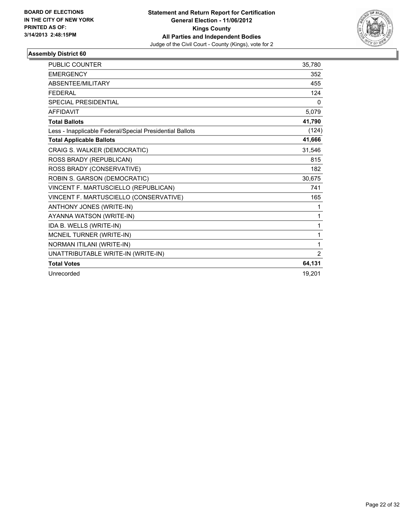

| <b>PUBLIC COUNTER</b>                                    | 35,780 |
|----------------------------------------------------------|--------|
| <b>EMERGENCY</b>                                         | 352    |
| <b>ABSENTEE/MILITARY</b>                                 | 455    |
| <b>FEDERAL</b>                                           | 124    |
| <b>SPECIAL PRESIDENTIAL</b>                              | 0      |
| <b>AFFIDAVIT</b>                                         | 5,079  |
| <b>Total Ballots</b>                                     | 41,790 |
| Less - Inapplicable Federal/Special Presidential Ballots | (124)  |
| <b>Total Applicable Ballots</b>                          | 41,666 |
| CRAIG S. WALKER (DEMOCRATIC)                             | 31,546 |
| ROSS BRADY (REPUBLICAN)                                  | 815    |
| ROSS BRADY (CONSERVATIVE)                                | 182    |
| ROBIN S. GARSON (DEMOCRATIC)                             | 30,675 |
| VINCENT F. MARTUSCIELLO (REPUBLICAN)                     | 741    |
| VINCENT F. MARTUSCIELLO (CONSERVATIVE)                   | 165    |
| ANTHONY JONES (WRITE-IN)                                 | 1      |
| AYANNA WATSON (WRITE-IN)                                 | 1      |
| IDA B. WELLS (WRITE-IN)                                  | 1      |
| MCNEIL TURNER (WRITE-IN)                                 | 1      |
| NORMAN ITILANI (WRITE-IN)                                | 1      |
| UNATTRIBUTABLE WRITE-IN (WRITE-IN)                       | 2      |
| <b>Total Votes</b>                                       | 64,131 |
| Unrecorded                                               | 19.201 |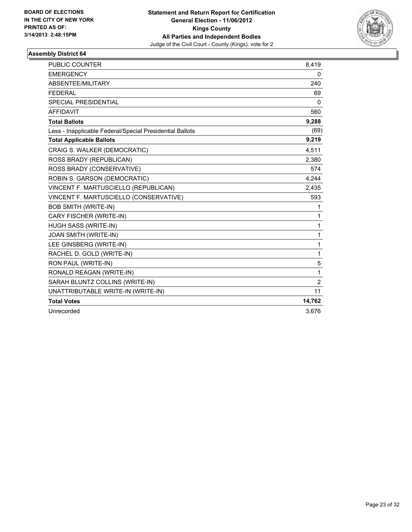

| <b>PUBLIC COUNTER</b>                                    | 8,419          |
|----------------------------------------------------------|----------------|
| <b>EMERGENCY</b>                                         | 0              |
| <b>ABSENTEE/MILITARY</b>                                 | 240            |
| <b>FEDERAL</b>                                           | 69             |
| <b>SPECIAL PRESIDENTIAL</b>                              | $\Omega$       |
| <b>AFFIDAVIT</b>                                         | 560            |
| <b>Total Ballots</b>                                     | 9,288          |
| Less - Inapplicable Federal/Special Presidential Ballots | (69)           |
| <b>Total Applicable Ballots</b>                          | 9,219          |
| CRAIG S. WALKER (DEMOCRATIC)                             | 4,511          |
| ROSS BRADY (REPUBLICAN)                                  | 2,380          |
| ROSS BRADY (CONSERVATIVE)                                | 574            |
| ROBIN S. GARSON (DEMOCRATIC)                             | 4,244          |
| VINCENT F. MARTUSCIELLO (REPUBLICAN)                     | 2,435          |
| VINCENT F. MARTUSCIELLO (CONSERVATIVE)                   | 593            |
| <b>BOB SMITH (WRITE-IN)</b>                              | 1              |
| CARY FISCHER (WRITE-IN)                                  | 1              |
| HUGH SASS (WRITE-IN)                                     | $\mathbf{1}$   |
| JOAN SMITH (WRITE-IN)                                    | $\mathbf{1}$   |
| LEE GINSBERG (WRITE-IN)                                  | $\mathbf{1}$   |
| RACHEL D. GOLD (WRITE-IN)                                | 1              |
| RON PAUL (WRITE-IN)                                      | 5              |
| RONALD REAGAN (WRITE-IN)                                 | 1              |
| SARAH BLUNTZ COLLINS (WRITE-IN)                          | $\overline{2}$ |
| UNATTRIBUTABLE WRITE-IN (WRITE-IN)                       | 11             |
| <b>Total Votes</b>                                       | 14,762         |
| Unrecorded                                               | 3,676          |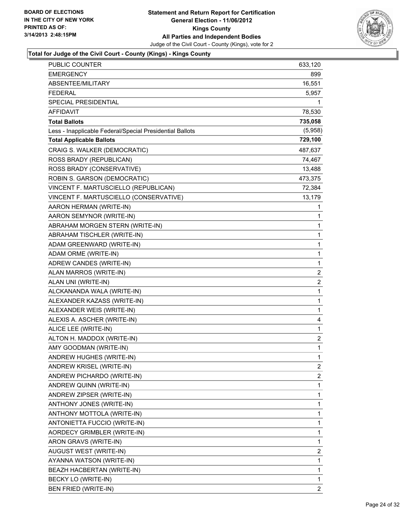

| PUBLIC COUNTER                                           | 633,120      |
|----------------------------------------------------------|--------------|
| <b>EMERGENCY</b>                                         | 899          |
| ABSENTEE/MILITARY                                        | 16,551       |
| <b>FEDERAL</b>                                           | 5,957        |
| SPECIAL PRESIDENTIAL                                     | 1            |
| <b>AFFIDAVIT</b>                                         | 78,530       |
| <b>Total Ballots</b>                                     | 735,058      |
| Less - Inapplicable Federal/Special Presidential Ballots | (5,958)      |
| <b>Total Applicable Ballots</b>                          | 729,100      |
| CRAIG S. WALKER (DEMOCRATIC)                             | 487,637      |
| ROSS BRADY (REPUBLICAN)                                  | 74,467       |
| ROSS BRADY (CONSERVATIVE)                                | 13,488       |
| ROBIN S. GARSON (DEMOCRATIC)                             | 473,375      |
| VINCENT F. MARTUSCIELLO (REPUBLICAN)                     | 72,384       |
| VINCENT F. MARTUSCIELLO (CONSERVATIVE)                   | 13,179       |
| AARON HERMAN (WRITE-IN)                                  | 1            |
| AARON SEMYNOR (WRITE-IN)                                 | 1            |
| ABRAHAM MORGEN STERN (WRITE-IN)                          | 1            |
| ABRAHAM TISCHLER (WRITE-IN)                              | 1            |
| ADAM GREENWARD (WRITE-IN)                                | 1            |
| ADAM ORME (WRITE-IN)                                     | 1            |
| ADREW CANDES (WRITE-IN)                                  | $\mathbf{1}$ |
| ALAN MARROS (WRITE-IN)                                   | 2            |
| ALAN UNI (WRITE-IN)                                      | 2            |
| ALCKANANDA WALA (WRITE-IN)                               | 1            |
| ALEXANDER KAZASS (WRITE-IN)                              | 1            |
| ALEXANDER WEIS (WRITE-IN)                                | 1            |
| ALEXIS A. ASCHER (WRITE-IN)                              | 4            |
| ALICE LEE (WRITE-IN)                                     | 1            |
| ALTON H. MADDOX (WRITE-IN)                               | 2            |
| AMY GOODMAN (WRITE-IN)                                   | 1            |
| ANDREW HUGHES (WRITE-IN)                                 | 1            |
| ANDREW KRISEL (WRITE-IN)                                 | 2            |
| ANDREW PICHARDO (WRITE-IN)                               | 2            |
| ANDREW QUINN (WRITE-IN)                                  | 1            |
| ANDREW ZIPSER (WRITE-IN)                                 | 1            |
| ANTHONY JONES (WRITE-IN)                                 | 1            |
| ANTHONY MOTTOLA (WRITE-IN)                               | 1            |
| ANTONIETTA FUCCIO (WRITE-IN)                             | 1            |
| AORDECY GRIMBLER (WRITE-IN)                              | 1            |
| ARON GRAVS (WRITE-IN)                                    | 1            |
| AUGUST WEST (WRITE-IN)                                   | 2            |
| AYANNA WATSON (WRITE-IN)                                 | 1            |
| BEAZH HACBERTAN (WRITE-IN)                               | 1            |
| BECKY LO (WRITE-IN)                                      | 1            |
| BEN FRIED (WRITE-IN)                                     | 2            |
|                                                          |              |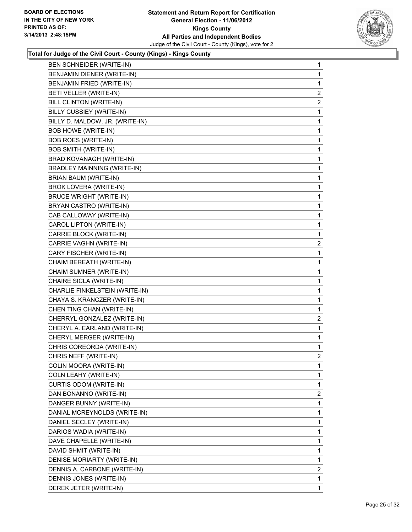

| <b>BEN SCHNEIDER (WRITE-IN)</b>    | 1              |
|------------------------------------|----------------|
| BENJAMIN DIENER (WRITE-IN)         | 1              |
| BENJAMIN FRIED (WRITE-IN)          | 1              |
| BETI VELLER (WRITE-IN)             | $\overline{c}$ |
| <b>BILL CLINTON (WRITE-IN)</b>     | 2              |
| BILLY CUSSIEY (WRITE-IN)           | 1              |
| BILLY D. MALDOW, JR. (WRITE-IN)    | 1              |
| <b>BOB HOWE (WRITE-IN)</b>         | 1              |
| <b>BOB ROES (WRITE-IN)</b>         | 1              |
| <b>BOB SMITH (WRITE-IN)</b>        | 1              |
| BRAD KOVANAGH (WRITE-IN)           | 1              |
| <b>BRADLEY MAINNING (WRITE-IN)</b> | 1              |
| BRIAN BAUM (WRITE-IN)              | 1              |
| BROK LOVERA (WRITE-IN)             | 1              |
| <b>BRUCE WRIGHT (WRITE-IN)</b>     | 1              |
| BRYAN CASTRO (WRITE-IN)            | 1              |
| CAB CALLOWAY (WRITE-IN)            | 1              |
| CAROL LIPTON (WRITE-IN)            | 1              |
| CARRIE BLOCK (WRITE-IN)            | 1              |
| CARRIE VAGHN (WRITE-IN)            | 2              |
| CARY FISCHER (WRITE-IN)            | 1              |
| CHAIM BEREATH (WRITE-IN)           | 1              |
| CHAIM SUMNER (WRITE-IN)            | 1              |
| CHAIRE SICLA (WRITE-IN)            | 1              |
| CHARLIE FINKELSTEIN (WRITE-IN)     | 1              |
| CHAYA S. KRANCZER (WRITE-IN)       | 1              |
| CHEN TING CHAN (WRITE-IN)          | 1              |
| CHERRYL GONZALEZ (WRITE-IN)        | $\mathbf{2}$   |
| CHERYL A. EARLAND (WRITE-IN)       | 1              |
| CHERYL MERGER (WRITE-IN)           | 1              |
| CHRIS COREORDA (WRITE-IN)          | 1              |
| CHRIS NEFF (WRITE-IN)              | $\overline{2}$ |
| COLIN MOORA (WRITE-IN)             | 1              |
| COLN LEAHY (WRITE-IN)              | 1              |
| CURTIS ODOM (WRITE-IN)             | 1              |
| DAN BONANNO (WRITE-IN)             | 2              |
| DANGER BUNNY (WRITE-IN)            | 1              |
| DANIAL MCREYNOLDS (WRITE-IN)       | 1              |
| DANIEL SECLEY (WRITE-IN)           | 1              |
| DARIOS WADIA (WRITE-IN)            | 1              |
| DAVE CHAPELLE (WRITE-IN)           | 1              |
| DAVID SHMIT (WRITE-IN)             | 1              |
| DENISE MORIARTY (WRITE-IN)         | 1              |
| DENNIS A. CARBONE (WRITE-IN)       | $\overline{2}$ |
| DENNIS JONES (WRITE-IN)            | 1              |
| DEREK JETER (WRITE-IN)             | $\mathbf{1}$   |
|                                    |                |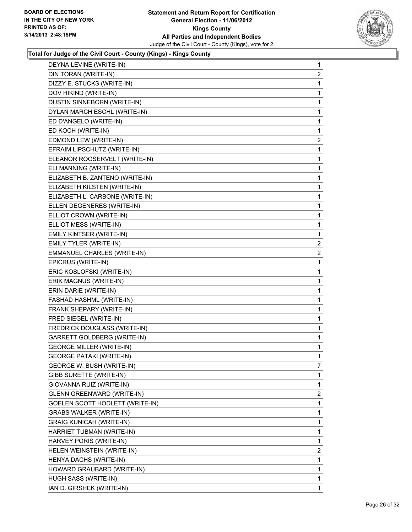

| DEYNA LEVINE (WRITE-IN)                | 1            |
|----------------------------------------|--------------|
| DIN TORAN (WRITE-IN)                   | 2            |
| DIZZY E. STUCKS (WRITE-IN)             | 1            |
| DOV HIKIND (WRITE-IN)                  | 1            |
| DUSTIN SINNEBORN (WRITE-IN)            | 1            |
| DYLAN MARCH ESCHL (WRITE-IN)           | 1            |
| ED D'ANGELO (WRITE-IN)                 | 1            |
| ED KOCH (WRITE-IN)                     | 1            |
| EDMOND LEW (WRITE-IN)                  | $\mathbf{2}$ |
| EFRAIM LIPSCHUTZ (WRITE-IN)            | 1            |
| ELEANOR ROOSERVELT (WRITE-IN)          | 1            |
| ELI MANNING (WRITE-IN)                 | 1            |
| ELIZABETH B. ZANTENO (WRITE-IN)        | 1            |
| ELIZABETH KILSTEN (WRITE-IN)           | 1            |
| ELIZABETH L. CARBONE (WRITE-IN)        | 1            |
| ELLEN DEGENERES (WRITE-IN)             | 1            |
| ELLIOT CROWN (WRITE-IN)                | 1            |
| ELLIOT MESS (WRITE-IN)                 | 1            |
| EMILY KINTSER (WRITE-IN)               | 1            |
| EMILY TYLER (WRITE-IN)                 | 2            |
| EMMANUEL CHARLES (WRITE-IN)            | $\mathbf{2}$ |
| EPICRUS (WRITE-IN)                     | 1            |
| ERIC KOSLOFSKI (WRITE-IN)              | 1            |
| ERIK MAGNUS (WRITE-IN)                 | 1            |
| ERIN DARIE (WRITE-IN)                  | 1            |
| FASHAD HASHML (WRITE-IN)               | 1            |
| FRANK SHEPARY (WRITE-IN)               | 1            |
| FRED SIEGEL (WRITE-IN)                 | 1            |
| FREDRICK DOUGLASS (WRITE-IN)           | 1            |
| GARRETT GOLDBERG (WRITE-IN)            | 1            |
| <b>GEORGE MILLER (WRITE-IN)</b>        | 1            |
| <b>GEORGE PATAKI (WRITE-IN)</b>        | 1            |
| GEORGE W. BUSH (WRITE-IN)              | 7            |
| GIBB SURETTE (WRITE-IN)                | 1            |
| GIOVANNA RUIZ (WRITE-IN)               | 1            |
| <b>GLENN GREENWARD (WRITE-IN)</b>      | 2            |
| <b>GOELEN SCOTT HODLETT (WRITE-IN)</b> | 1            |
| <b>GRABS WALKER (WRITE-IN)</b>         | 1            |
| <b>GRAIG KUNICAH (WRITE-IN)</b>        | 1            |
| HARRIET TUBMAN (WRITE-IN)              | 1            |
| HARVEY PORIS (WRITE-IN)                | 1            |
| HELEN WEINSTEIN (WRITE-IN)             | 2            |
| HENYA DACHS (WRITE-IN)                 | 1            |
| HOWARD GRAUBARD (WRITE-IN)             | 1            |
| HUGH SASS (WRITE-IN)                   | 1            |
| IAN D. GIRSHEK (WRITE-IN)              | $\mathbf 1$  |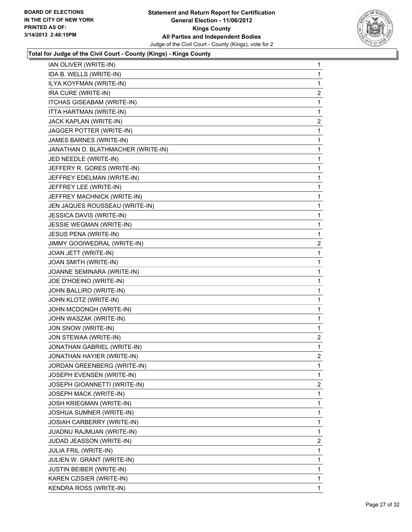

| IAN OLIVER (WRITE-IN)              | 1              |
|------------------------------------|----------------|
| IDA B. WELLS (WRITE-IN)            | 1              |
| ILYA KOYFMAN (WRITE-IN)            | 1              |
| IRA CURE (WRITE-IN)                | $\overline{c}$ |
| ITCHAS GISEABAM (WRITE-IN)         | 1              |
| ITTA HARTMAN (WRITE-IN)            | 1              |
| JACK KAPLAN (WRITE-IN)             | 2              |
| JAGGER POTTER (WRITE-IN)           | 1              |
| JAMES BARNES (WRITE-IN)            | 1              |
| JANATHAN D. BLATHMACHER (WRITE-IN) | 1              |
| JED NEEDLE (WRITE-IN)              | 1              |
| JEFFERY R. GORES (WRITE-IN)        | 1              |
| JEFFREY EDELMAN (WRITE-IN)         | 1              |
| JEFFREY LEE (WRITE-IN)             | 1              |
| JEFFREY MACHNICK (WRITE-IN)        | 1              |
| JEN JAQUES ROUSSEAU (WRITE-IN)     | 1              |
| <b>JESSICA DAVIS (WRITE-IN)</b>    | 1              |
| JESSIE WEGMAN (WRITE-IN)           | 1              |
| JESUS PENA (WRITE-IN)              | 1              |
| JIMMY GOOIWEDRAL (WRITE-IN)        | $\overline{2}$ |
| JOAN JETT (WRITE-IN)               | 1              |
| JOAN SMITH (WRITE-IN)              | 1              |
| JOANNE SEMINARA (WRITE-IN)         | 1              |
| JOE D'HOEINO (WRITE-IN)            | 1              |
| JOHN BALLIRO (WRITE-IN)            | 1              |
| JOHN KLOTZ (WRITE-IN)              | 1              |
| JOHN MCDONGH (WRITE-IN)            | 1              |
| JOHN WASZAK (WRITE-IN)             | 1              |
| JON SNOW (WRITE-IN)                | 1              |
| JON STEWAA (WRITE-IN)              | $\overline{a}$ |
| JONATHAN GABRIEL (WRITE-IN)        | 1              |
| JONATHAN HAYIER (WRITE-IN)         | 2              |
| JORDAN GREENBERG (WRITE-IN)        | 1              |
| JOSEPH EVENSEN (WRITE-IN)          | 1              |
| JOSEPH GIOANNETTI (WRITE-IN)       | $\overline{2}$ |
| JOSEPH MACK (WRITE-IN)             | 1              |
| <b>JOSH KRIEGMAN (WRITE-IN)</b>    | 1              |
| <b>JOSHUA SUMNER (WRITE-IN)</b>    | 1              |
| JOSIAH CARBERRY (WRITE-IN)         | 1              |
| JUADNU RAJMUAN (WRITE-IN)          | 1              |
| JUDAD JEASSON (WRITE-IN)           | $\overline{2}$ |
| <b>JULIA FRIL (WRITE-IN)</b>       | 1              |
| JULIEN W. GRANT (WRITE-IN)         | 1              |
| <b>JUSTIN BEIBER (WRITE-IN)</b>    | 1              |
| KAREN CZISIER (WRITE-IN)           | 1              |
| KENDRA ROSS (WRITE-IN)             | $\mathbf{1}$   |
|                                    |                |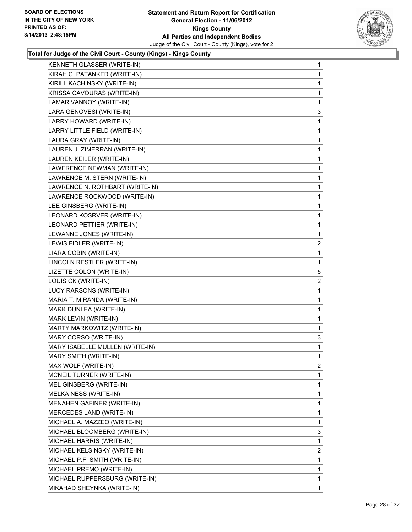

| <b>KENNETH GLASSER (WRITE-IN)</b> | 1                       |
|-----------------------------------|-------------------------|
| KIRAH C. PATANKER (WRITE-IN)      | 1                       |
| KIRILL KACHINSKY (WRITE-IN)       | 1                       |
| KRISSA CAVOURAS (WRITE-IN)        | 1                       |
| LAMAR VANNOY (WRITE-IN)           | 1                       |
| LARA GENOVESI (WRITE-IN)          | 3                       |
| LARRY HOWARD (WRITE-IN)           | 1                       |
| LARRY LITTLE FIELD (WRITE-IN)     | 1                       |
| LAURA GRAY (WRITE-IN)             | 1                       |
| LAUREN J. ZIMERRAN (WRITE-IN)     | 1                       |
| LAUREN KEILER (WRITE-IN)          | 1                       |
| LAWERENCE NEWMAN (WRITE-IN)       | 1                       |
| LAWRENCE M. STERN (WRITE-IN)      | 1                       |
| LAWRENCE N. ROTHBART (WRITE-IN)   | 1                       |
| LAWRENCE ROCKWOOD (WRITE-IN)      | 1                       |
| LEE GINSBERG (WRITE-IN)           | 1                       |
| LEONARD KOSRVER (WRITE-IN)        | 1                       |
| LEONARD PETTIER (WRITE-IN)        | 1                       |
| LEWANNE JONES (WRITE-IN)          | 1                       |
| LEWIS FIDLER (WRITE-IN)           | 2                       |
| LIARA COBIN (WRITE-IN)            | 1                       |
| LINCOLN RESTLER (WRITE-IN)        | 1                       |
| LIZETTE COLON (WRITE-IN)          | 5                       |
| LOUIS CK (WRITE-IN)               | 2                       |
| LUCY RARSONS (WRITE-IN)           | 1                       |
| MARIA T. MIRANDA (WRITE-IN)       | 1                       |
| MARK DUNLEA (WRITE-IN)            | 1                       |
| MARK LEVIN (WRITE-IN)             | 1                       |
| MARTY MARKOWITZ (WRITE-IN)        | 1                       |
| MARY CORSO (WRITE-IN)             | 3                       |
| MARY ISABELLE MULLEN (WRITE-IN)   | 1                       |
| MARY SMITH (WRITE-IN)             | $\mathbf 1$             |
| MAX WOLF (WRITE-IN)               | $\overline{\mathbf{c}}$ |
| MCNEIL TURNER (WRITE-IN)          | 1                       |
| MEL GINSBERG (WRITE-IN)           | 1                       |
| MELKA NESS (WRITE-IN)             | 1                       |
| MENAHEN GAFINER (WRITE-IN)        | 1                       |
| MERCEDES LAND (WRITE-IN)          | 1                       |
| MICHAEL A. MAZZEO (WRITE-IN)      | 1                       |
| MICHAEL BLOOMBERG (WRITE-IN)      | 3                       |
| MICHAEL HARRIS (WRITE-IN)         | 1                       |
| MICHAEL KELSINSKY (WRITE-IN)      | 2                       |
| MICHAEL P.F. SMITH (WRITE-IN)     | 1                       |
| MICHAEL PREMO (WRITE-IN)          | 1                       |
| MICHAEL RUPPERSBURG (WRITE-IN)    | 1                       |
| MIKAHAD SHEYNKA (WRITE-IN)        | 1                       |
|                                   |                         |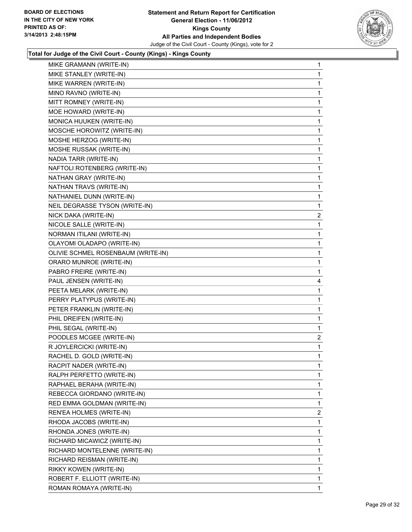

| MIKE GRAMANN (WRITE-IN)            | 1              |
|------------------------------------|----------------|
| MIKE STANLEY (WRITE-IN)            | 1              |
| MIKE WARREN (WRITE-IN)             | 1              |
| MINO RAVNO (WRITE-IN)              | 1              |
| MITT ROMNEY (WRITE-IN)             | 1              |
| MOE HOWARD (WRITE-IN)              | 1              |
| MONICA HUUKEN (WRITE-IN)           | 1              |
| MOSCHE HOROWITZ (WRITE-IN)         | 1              |
| MOSHE HERZOG (WRITE-IN)            | 1              |
| MOSHE RUSSAK (WRITE-IN)            | 1              |
| NADIA TARR (WRITE-IN)              | 1              |
| NAFTOLI ROTENBERG (WRITE-IN)       | 1              |
| NATHAN GRAY (WRITE-IN)             | 1              |
| NATHAN TRAVS (WRITE-IN)            | 1              |
| NATHANIEL DUNN (WRITE-IN)          | 1              |
| NEIL DEGRASSE TYSON (WRITE-IN)     | 1              |
| NICK DAKA (WRITE-IN)               | 2              |
| NICOLE SALLE (WRITE-IN)            | 1              |
| NORMAN ITILANI (WRITE-IN)          | 1              |
| OLAYOMI OLADAPO (WRITE-IN)         | 1              |
| OLIVIE SCHMEL ROSENBAUM (WRITE-IN) | 1              |
| ORARO MUNROE (WRITE-IN)            | 1              |
| PABRO FREIRE (WRITE-IN)            | 1              |
| PAUL JENSEN (WRITE-IN)             | 4              |
| PEETA MELARK (WRITE-IN)            | 1              |
| PERRY PLATYPUS (WRITE-IN)          | 1              |
| PETER FRANKLIN (WRITE-IN)          | 1              |
| PHIL DREIFEN (WRITE-IN)            | 1              |
| PHIL SEGAL (WRITE-IN)              | 1              |
| POODLES MCGEE (WRITE-IN)           | $\overline{2}$ |
| R JOYLERCICKI (WRITE-IN)           | 1              |
| RACHEL D. GOLD (WRITE-IN)          | 1              |
| RACPIT NADER (WRITE-IN)            | 1              |
| RALPH PERFETTO (WRITE-IN)          | 1              |
| RAPHAEL BERAHA (WRITE-IN)          | 1              |
| REBECCA GIORDANO (WRITE-IN)        | 1              |
| RED EMMA GOLDMAN (WRITE-IN)        | 1              |
| REN'EA HOLMES (WRITE-IN)           | 2              |
| RHODA JACOBS (WRITE-IN)            | 1              |
| RHONDA JONES (WRITE-IN)            | 1              |
| RICHARD MICAWICZ (WRITE-IN)        | 1              |
| RICHARD MONTELENNE (WRITE-IN)      | 1              |
| RICHARD REISMAN (WRITE-IN)         | 1              |
| RIKKY KOWEN (WRITE-IN)             | 1              |
| ROBERT F. ELLIOTT (WRITE-IN)       | 1              |
| ROMAN ROMAYA (WRITE-IN)            | $\mathbf 1$    |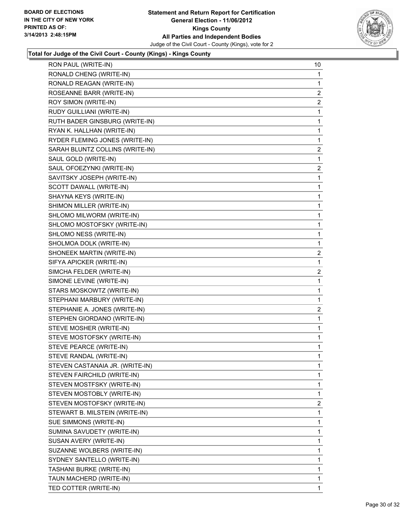

| RON PAUL (WRITE-IN)             | 10             |
|---------------------------------|----------------|
| RONALD CHENG (WRITE-IN)         | 1              |
| RONALD REAGAN (WRITE-IN)        | $\mathbf 1$    |
| ROSEANNE BARR (WRITE-IN)        | $\overline{a}$ |
| ROY SIMON (WRITE-IN)            | $\overline{2}$ |
| RUDY GUILLIANI (WRITE-IN)       | 1              |
| RUTH BADER GINSBURG (WRITE-IN)  | 1              |
| RYAN K. HALLHAN (WRITE-IN)      | 1              |
| RYDER FLEMING JONES (WRITE-IN)  | 1              |
| SARAH BLUNTZ COLLINS (WRITE-IN) | $\overline{c}$ |
| SAUL GOLD (WRITE-IN)            | 1              |
| SAUL OFOEZYNKI (WRITE-IN)       | 2              |
| SAVITSKY JOSEPH (WRITE-IN)      | 1              |
| SCOTT DAWALL (WRITE-IN)         | 1              |
| SHAYNA KEYS (WRITE-IN)          | 1              |
| SHIMON MILLER (WRITE-IN)        | 1              |
| SHLOMO MILWORM (WRITE-IN)       | 1              |
| SHLOMO MOSTOFSKY (WRITE-IN)     | 1              |
| SHLOMO NESS (WRITE-IN)          | 1              |
| SHOLMOA DOLK (WRITE-IN)         | 1              |
| SHONEEK MARTIN (WRITE-IN)       | 2              |
| SIFYA APICKER (WRITE-IN)        | 1              |
| SIMCHA FELDER (WRITE-IN)        | $\overline{2}$ |
| SIMONE LEVINE (WRITE-IN)        | 1              |
| STARS MOSKOWTZ (WRITE-IN)       | 1              |
| STEPHANI MARBURY (WRITE-IN)     | 1              |
| STEPHANIE A. JONES (WRITE-IN)   | 2              |
| STEPHEN GIORDANO (WRITE-IN)     | 1              |
| STEVE MOSHER (WRITE-IN)         | 1              |
| STEVE MOSTOFSKY (WRITE-IN)      | 1              |
| STEVE PEARCE (WRITE-IN)         | 1              |
| STEVE RANDAL (WRITE-IN)         | 1              |
| STEVEN CASTANAIA JR. (WRITE-IN) | 1              |
| STEVEN FAIRCHILD (WRITE-IN)     | 1              |
| STEVEN MOSTFSKY (WRITE-IN)      | 1              |
| STEVEN MOSTOBLY (WRITE-IN)      | 1              |
| STEVEN MOSTOFSKY (WRITE-IN)     | 2              |
| STEWART B. MILSTEIN (WRITE-IN)  | 1              |
| SUE SIMMONS (WRITE-IN)          | 1              |
| SUMINA SAVUDETY (WRITE-IN)      | 1              |
| SUSAN AVERY (WRITE-IN)          | 1              |
| SUZANNE WOLBERS (WRITE-IN)      | 1              |
| SYDNEY SANTELLO (WRITE-IN)      | 1              |
| TASHANI BURKE (WRITE-IN)        | 1              |
| TAUN MACHERD (WRITE-IN)         | 1              |
| TED COTTER (WRITE-IN)           | $\mathbf{1}$   |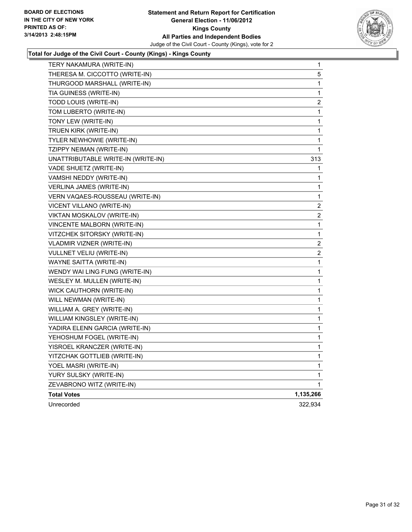

| TERY NAKAMURA (WRITE-IN)           | 1                       |
|------------------------------------|-------------------------|
| THERESA M. CICCOTTO (WRITE-IN)     | 5                       |
| THURGOOD MARSHALL (WRITE-IN)       | 1                       |
| TIA GUINESS (WRITE-IN)             | 1                       |
| TODD LOUIS (WRITE-IN)              | $\overline{\mathbf{c}}$ |
| TOM LUBERTO (WRITE-IN)             | 1                       |
| TONY LEW (WRITE-IN)                | 1                       |
| TRUEN KIRK (WRITE-IN)              | 1                       |
| TYLER NEWHOWIE (WRITE-IN)          | 1                       |
| TZIPPY NEIMAN (WRITE-IN)           | 1                       |
| UNATTRIBUTABLE WRITE-IN (WRITE-IN) | 313                     |
| VADE SHUETZ (WRITE-IN)             | 1                       |
| VAMSHI NEDDY (WRITE-IN)            | 1                       |
| VERLINA JAMES (WRITE-IN)           | 1                       |
| VERN VAQAES-ROUSSEAU (WRITE-IN)    | 1                       |
| VICENT VILLANO (WRITE-IN)          | 2                       |
| VIKTAN MOSKALOV (WRITE-IN)         | 2                       |
| VINCENTE MALBORN (WRITE-IN)        | 1                       |
| VITZCHEK SITORSKY (WRITE-IN)       | 1                       |
| VLADMIR VIZNER (WRITE-IN)          | 2                       |
| VULLNET VELIU (WRITE-IN)           | 2                       |
| WAYNE SAITTA (WRITE-IN)            | 1                       |
| WENDY WAI LING FUNG (WRITE-IN)     | $\mathbf{1}$            |
| WESLEY M. MULLEN (WRITE-IN)        | 1                       |
| WICK CAUTHORN (WRITE-IN)           | 1                       |
| WILL NEWMAN (WRITE-IN)             | 1                       |
| WILLIAM A. GREY (WRITE-IN)         | 1                       |
| WILLIAM KINGSLEY (WRITE-IN)        | 1                       |
| YADIRA ELENN GARCIA (WRITE-IN)     | 1                       |
| YEHOSHUM FOGEL (WRITE-IN)          | $\mathbf{1}$            |
| YISROEL KRANCZER (WRITE-IN)        | $\mathbf{1}$            |
| YITZCHAK GOTTLIEB (WRITE-IN)       | $\mathbf 1$             |
| YOEL MASRI (WRITE-IN)              | $\mathbf 1$             |
| YURY SULSKY (WRITE-IN)             | 1                       |
| ZEVABRONO WITZ (WRITE-IN)          | 1                       |
| <b>Total Votes</b>                 | 1,135,266               |
| Unrecorded                         | 322,934                 |